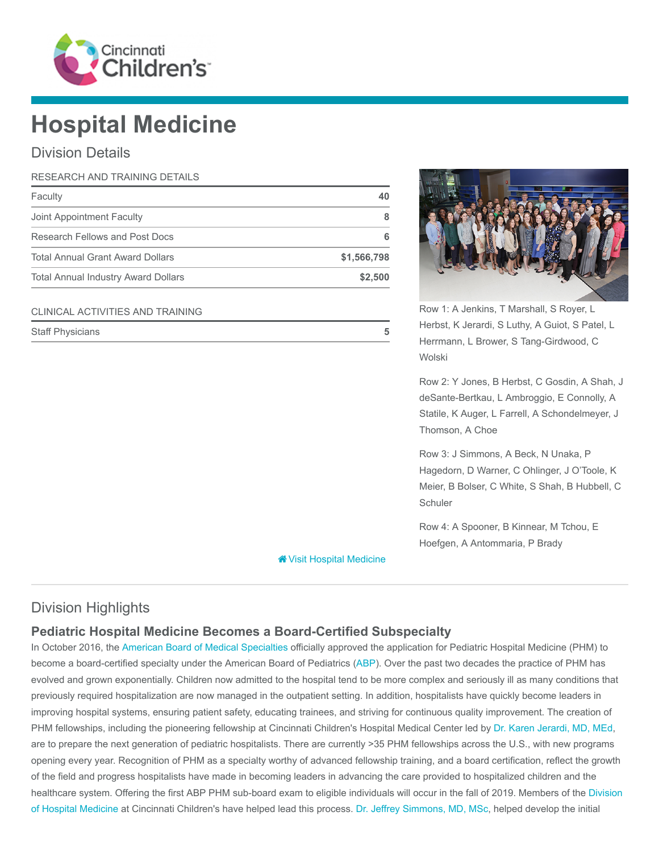

# Hospital Medicine

## Division Details

| RESEARCH AND TRAINING DETAILS              |             |
|--------------------------------------------|-------------|
| Faculty                                    | 40          |
| Joint Appointment Faculty                  |             |
| Research Fellows and Post Docs             | 6           |
| <b>Total Annual Grant Award Dollars</b>    | \$1,566,798 |
| <b>Total Annual Industry Award Dollars</b> | \$2,500     |

#### CLINICAL ACTIVITIES AND TRAINING

| <b>Staff Physicians</b> |  |  |
|-------------------------|--|--|
|-------------------------|--|--|



Row 1: A Jenkins, T Marshall, S Royer, L Herbst, K Jerardi, S Luthy, A Guiot, S Patel, L Herrmann, L Brower, S Tang-Girdwood, C Wolski

Row 2: Y Jones, B Herbst, C Gosdin, A Shah, J deSante-Bertkau, L Ambroggio, E Connolly, A Statile, K Auger, L Farrell, A Schondelmeyer, J Thomson, A Choe

Row 3: J Simmons, A Beck, N Unaka, P Hagedorn, D Warner, C Ohlinger, J O'Toole, K Meier, B Bolser, C White, S Shah, B Hubbell, C **Schuler** 

Row 4: A Spooner, B Kinnear, M Tchou, E Hoefgen, A Antommaria, P Brady

**<sup>\*</sup>** [Visit Hospital Medicine](https://www.cincinnatichildrens.org/research/divisions/h/hospital-medicine)

# Division Highlights

# Pediatric Hospital Medicine Becomes a Board-Certified Subspecialty

In October 2016, the [American Board of Medical Specialties](http://www.abms.org/) officially approved the application for Pediatric Hospital Medicine (PHM) to become a board-certified specialty under the American Board of Pediatrics ([ABP](https://www.abp.org/)). Over the past two decades the practice of PHM has evolved and grown exponentially. Children now admitted to the hospital tend to be more complex and seriously ill as many conditions that previously required hospitalization are now managed in the outpatient setting. In addition, hospitalists have quickly become leaders in improving hospital systems, ensuring patient safety, educating trainees, and striving for continuous quality improvement. The creation of PHM fellowships, including the pioneering fellowship at Cincinnati Children's Hospital Medical Center led by [Dr. Karen Jerardi, MD, MEd,](https://www.cincinnatichildrens.org/bio/j/karen-jerardi) are to prepare the next generation of pediatric hospitalists. There are currently >35 PHM fellowships across the U.S., with new programs opening every year. Recognition of PHM as a specialty worthy of advanced fellowship training, and a board certification, reflect the growth of the field and progress hospitalists have made in becoming leaders in advancing the care provided to hospitalized children and the [healthcare system. Offering the first ABP PHM sub-board exam to eligible individuals will occur in the fall of 2019. Members of the Division](https://www.cincinnatichildrens.org/research/divisions/h/hospital-medicine) of Hospital Medicine at Cincinnati Children's have helped lead this process. [Dr. Jeffrey Simmons, MD, MSc,](https://www.cincinnatichildrens.org/bio/s/jeffrey-simmons) helped develop the initial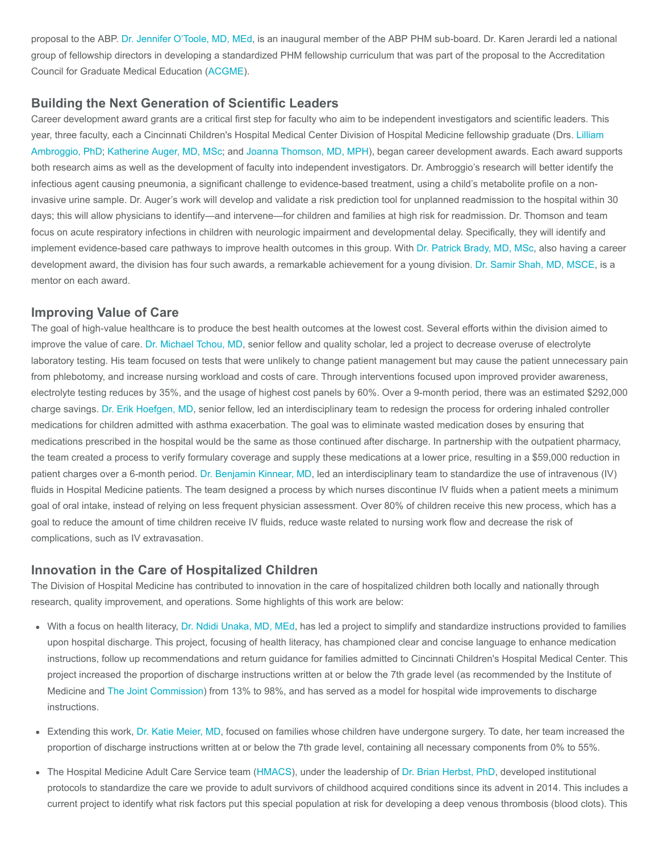proposal to the ABP. [Dr. Jennifer O'Toole, MD, MEd](https://www.cincinnatichildrens.org/bio/o/jennifer-otoole), is an inaugural member of the ABP PHM sub-board. Dr. Karen Jerardi led a national group of fellowship directors in developing a standardized PHM fellowship curriculum that was part of the proposal to the Accreditation Council for Graduate Medical Education [\(ACGME](http://www.acgme.org/)).

#### Building the Next Generation of Scientific Leaders

Career development award grants are a critical first step for faculty who aim to be independent investigators and scientific leaders. This year, three faculty, each a Cincinnati Children's Hospital Medical Center Division of Hospital Medicine fellowship graduate (Drs. Lilliam [Ambroggio, PhD; Katherine Auger, MD, MSc; and Joanna Thomson, MD, MPH\), began career development awards. Each award supp](https://www.cincinnatichildrens.org/bio/a/lilliam-ambroggio)orts both research aims as well as the development of faculty into independent investigators. Dr. Ambroggio's research will better identify the infectious agent causing pneumonia, a significant challenge to evidence-based treatment, using a child's metabolite profile on a noninvasive urine sample. Dr. Auger's work will develop and validate a risk prediction tool for unplanned readmission to the hospital within 30 days; this will allow physicians to identify—and intervene—for children and families at high risk for readmission. Dr. Thomson and team focus on acute respiratory infections in children with neurologic impairment and developmental delay. Specifically, they will identify and implement evidence-based care pathways to improve health outcomes in this group. With [Dr. Patrick Brady, MD, MSc](https://www.cincinnatichildrens.org/bio/b/patrick-brady), also having a career development award, the division has four such awards, a remarkable achievement for a young division. [Dr. Samir Shah, MD, MSCE](https://www.cincinnatichildrens.org/bio/s/samir-shah), is a mentor on each award.

#### Improving Value of Care

The goal of high-value healthcare is to produce the best health outcomes at the lowest cost. Several efforts within the division aimed to improve the value of care. [Dr. Michael Tchou, MD,](https://www.cincinnatichildrens.org/bio/t/michael-tchou) senior fellow and quality scholar, led a project to decrease overuse of electrolyte laboratory testing. His team focused on tests that were unlikely to change patient management but may cause the patient unnecessary pain from phlebotomy, and increase nursing workload and costs of care. Through interventions focused upon improved provider awareness, electrolyte testing reduces by 35%, and the usage of highest cost panels by 60%. Over a 9-month period, there was an estimated \$292,000 charge savings. [Dr. Erik Hoefgen, MD,](https://www.cincinnatichildrens.org/bio/h/erik-hoefgen) senior fellow, led an interdisciplinary team to redesign the process for ordering inhaled controller medications for children admitted with asthma exacerbation. The goal was to eliminate wasted medication doses by ensuring that medications prescribed in the hospital would be the same as those continued after discharge. In partnership with the outpatient pharmacy, the team created a process to verify formulary coverage and supply these medications at a lower price, resulting in a \$59,000 reduction in patient charges over a 6-month period. [Dr. Benjamin Kinnear, MD,](https://www.cincinnatichildrens.org/bio/k/benjamin-kinnear) led an interdisciplinary team to standardize the use of intravenous (IV) fluids in Hospital Medicine patients. The team designed a process by which nurses discontinue IV fluids when a patient meets a minimum goal of oral intake, instead of relying on less frequent physician assessment. Over 80% of children receive this new process, which has a goal to reduce the amount of time children receive IV fluids, reduce waste related to nursing work flow and decrease the risk of complications, such as IV extravasation.

#### Innovation in the Care of Hospitalized Children

The Division of Hospital Medicine has contributed to innovation in the care of hospitalized children both locally and nationally through research, quality improvement, and operations. Some highlights of this work are below:

- With a focus on health literacy, [Dr. Ndidi Unaka, MD, MEd,](https://www.cincinnatichildrens.org/bio/u/ndidi-unaka) has led a project to simplify and standardize instructions provided to families upon hospital discharge. This project, focusing of health literacy, has championed clear and concise language to enhance medication instructions, follow up recommendations and return guidance for families admitted to Cincinnati Children's Hospital Medical Center. This project increased the proportion of discharge instructions written at or below the 7th grade level (as recommended by the Institute of Medicine and [The Joint Commission](https://www.jointcommission.org/)) from 13% to 98%, and has served as a model for hospital wide improvements to discharge instructions.
- Extending this work, [Dr. Katie Meier, MD](https://www.cincinnatichildrens.org/bio/m/katie-meier), focused on families whose children have undergone surgery. To date, her team increased the proportion of discharge instructions written at or below the 7th grade level, containing all necessary components from 0% to 55%.
- The Hospital Medicine Adult Care Service team [\(HMACS](https://www.cincinnatichildrens.org/service/h/hospital-medicine/adult-care-service)), under the leadership of [Dr. Brian Herbst, PhD](https://www.cincinnatichildrens.org/bio/h/brian-herbst), developed institutional protocols to standardize the care we provide to adult survivors of childhood acquired conditions since its advent in 2014. This includes a current project to identify what risk factors put this special population at risk for developing a deep venous thrombosis (blood clots). This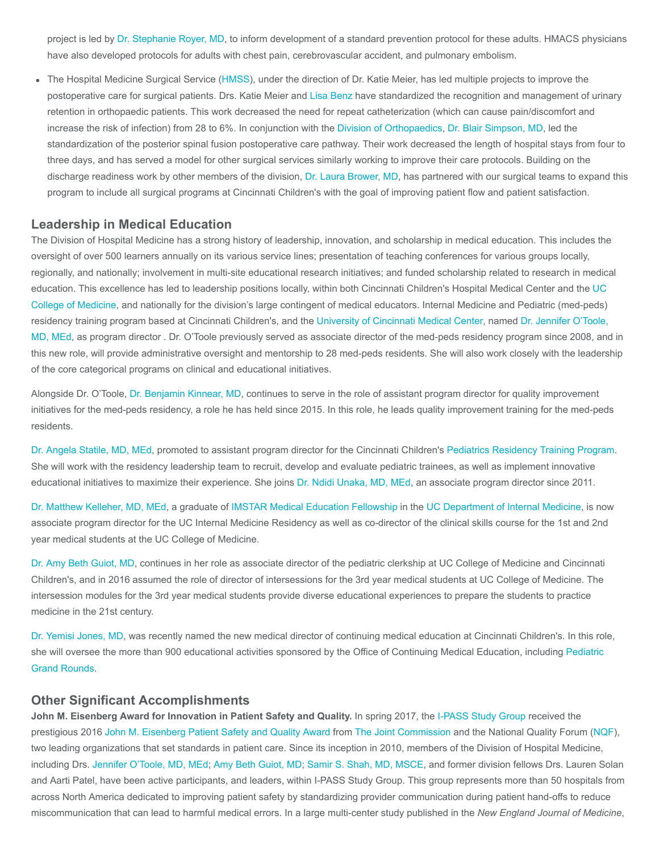project is led by [Dr. Stephanie Royer, MD](https://www.cincinnatichildrens.org/bio/r/stephanie-royer), to inform development of a standard prevention protocol for these adults. HMACS physicians have also developed protocols for adults with chest pain, cerebrovascular accident, and pulmonary embolism.

The Hospital Medicine Surgical Service ([HMSS](https://www.cincinnatichildrens.org/service/h/hospital-medicine/surgical)), under the direction of Dr. Katie Meier, has led multiple projects to improve the postoperative care for surgical patients. Drs. Katie Meier and [Lisa Benz](https://www.cincinnatichildrens.org/bio/b/lisa-benz) have standardized the recognition and management of urinary retention in orthopaedic patients. This work decreased the need for repeat catheterization (which can cause pain/discomfort and increase the risk of infection) from 28 to 6%. In conjunction with the [Division of Orthopaedics,](https://www.cincinnatichildrens.org/service/o/orthopaedic-surgery) [Dr. Blair Simpson, MD](https://www.cincinnatichildrens.org/bio/s/blair-simpson), led the standardization of the posterior spinal fusion postoperative care pathway. Their work decreased the length of hospital stays from four to three days, and has served a model for other surgical services similarly working to improve their care protocols. Building on the discharge readiness work by other members of the division, [Dr. Laura Brower, MD](https://www.cincinnatichildrens.org/bio/b/laura-brower), has partnered with our surgical teams to expand this program to include all surgical programs at Cincinnati Children's with the goal of improving patient flow and patient satisfaction.

#### Leadership in Medical Education

The Division of Hospital Medicine has a strong history of leadership, innovation, and scholarship in medical education. This includes the oversight of over 500 learners annually on its various service lines; presentation of teaching conferences for various groups locally, regionally, and nationally; involvement in multi-site educational research initiatives; and funded scholarship related to research in medical education. This excellence has led to leadership positions locally, within both Cincinnati Children's Hospital Medical Center and the UC [College of Medicine, and nationally for the division's large contingent of medical educators. Internal Medicine and Pediatric \(med-peds\)](https://med.uc.edu/) [residency training program based at Cincinnati Children's, and the](https://www.cincinnatichildrens.org/bio/o/jennifer-otoole) [University of Cincinnati Medical Center](http://uchealth.com/university-of-cincinnati-medical-center/)[, named Dr. Jennifer O'Toole,](https://www.cincinnatichildrens.org/bio/o/jennifer-otoole) MD, MEd, as program director . Dr. O'Toole previously served as associate director of the med-peds residency program since 2008, and in this new role, will provide administrative oversight and mentorship to 28 med-peds residents. She will also work closely with the leadership of the core categorical programs on clinical and educational initiatives.

Alongside Dr. O'Toole, [Dr. Benjamin Kinnear, MD](https://www.cincinnatichildrens.org/bio/k/benjamin-kinnear), continues to serve in the role of assistant program director for quality improvement initiatives for the med-peds residency, a role he has held since 2015. In this role, he leads quality improvement training for the med-peds residents.

[Dr. Angela Statile, MD, MEd](https://www.cincinnatichildrens.org/bio/s/angela-statile), promoted to assistant program director for the Cincinnati Children's [Pediatrics Residency Training Program](https://www.cincinnatichildrens.org/education/clinical/residency). She will work with the residency leadership team to recruit, develop and evaluate pediatric trainees, as well as implement innovative educational initiatives to maximize their experience. She joins [Dr. Ndidi Unaka, MD, MEd,](https://www.cincinnatichildrens.org/bio/u/ndidi-unaka) an associate program director since 2011.

[Dr. Matthew Kelleher, MD, MEd](https://www.cincinnatichildrens.org/bio/k/matthew-kelleher), a graduate of [IMSTAR Medical Education Fellowship](https://med.uc.edu/intmed/imstar-fellowship/home) in the [UC Department of Internal Medicine](https://med.uc.edu/intmed), is now associate program director for the UC Internal Medicine Residency as well as co-director of the clinical skills course for the 1st and 2nd year medical students at the UC College of Medicine.

[Dr. Amy Beth Guiot, MD](https://www.cincinnatichildrens.org/bio/g/amy-guiot), continues in her role as associate director of the pediatric clerkship at UC College of Medicine and Cincinnati Children's, and in 2016 assumed the role of director of intersessions for the 3rd year medical students at UC College of Medicine. The intersession modules for the 3rd year medical students provide diverse educational experiences to prepare the students to practice medicine in the 21st century.

[Dr. Yemisi Jones, MD](https://www.cincinnatichildrens.org/bio/j/yemisi-jones), was recently named the new medical director of continuing medical education at Cincinnati Children's. In this role, [she will oversee the more than 900 educational activities sponsored by the Office of Continuing Medical Education, including Pediatric](https://www.cincinnatichildrens.org/professional/continuing-education/grand-rounds) Grand Rounds.

#### Other Significant Accomplishments

John M. Eisenberg Award for Innovation in Patient Safety and Quality. In spring 2017, the [I-PASS Study Group](http://ipassstudygroup.com/) received the prestigious 2016 [John M. Eisenberg Patient Safety and Quality Award](https://www.jointcommission.org/topics/eisenberg.aspx) from [The Joint Commission](https://www.jointcommission.org/) and the National Quality Forum ([NQF](https://www.qualityforum.org/Home.aspx)), two leading organizations that set standards in patient care. Since its inception in 2010, members of the Division of Hospital Medicine, including Drs. [Jennifer O'Toole, MD, MEd](https://www.cincinnatichildrens.org/bio/o/jennifer-otoole); [Amy Beth Guiot, MD](https://www.cincinnatichildrens.org/bio/g/amy-guiot); [Samir S. Shah, MD, MSCE,](https://www.cincinnatichildrens.org/bio/s/samir-shah) and former division fellows Drs. Lauren Solan and Aarti Patel, have been active participants, and leaders, within I-PASS Study Group. This group represents more than 50 hospitals from across North America dedicated to improving patient safety by standardizing provider communication during patient hand-offs to reduce miscommunication that can lead to harmful medical errors. In a large multi-center study published in the New England Journal of Medicine,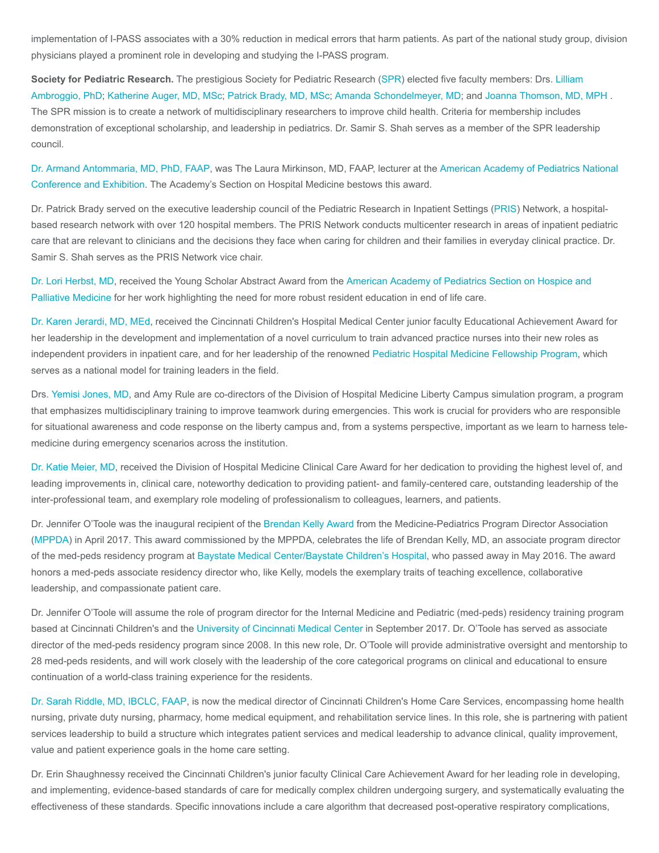implementation of I-PASS associates with a 30% reduction in medical errors that harm patients. As part of the national study group, division physicians played a prominent role in developing and studying the I-PASS program.

Society for Pediatric Research. The prestigious Society for Pediatric Research [\(SPR\)](https://www.aps-spr.org/) elected five faculty members: Drs. Lilliam [Ambroggio, PhD; Katherine Auger, MD, MSc; Patrick Brady, MD, MSc; Amanda Schondelmeyer, MD; and Joanna Thomson, MD,](https://www.cincinnatichildrens.org/bio/a/lilliam-ambroggio) [MPH .](https://www.cincinnatichildrens.org/bio/t/joanna-thomson) The SPR mission is to create a network of multidisciplinary researchers to improve child health. Criteria for membership includes demonstration of exceptional scholarship, and leadership in pediatrics. Dr. Samir S. Shah serves as a member of the SPR leadership council.

[Dr. Armand Antommaria, MD, PhD, FAA](https://www.cincinnatichildrens.org/bio/a/armand-antommaria)[P, was The Laura Mirkinson, MD, FAAP, lecturer at the American Academy of Pediatrics National](http://aapexperience.org/) Conference and Exhibition. The Academy's Section on Hospital Medicine bestows this award.

Dr. Patrick Brady served on the executive leadership council of the Pediatric Research in Inpatient Settings ([PRIS](http://www.prisnetwork.org/)) Network, a hospitalbased research network with over 120 hospital members. The PRIS Network conducts multicenter research in areas of inpatient pediatric care that are relevant to clinicians and the decisions they face when caring for children and their families in everyday clinical practice. Dr. Samir S. Shah serves as the PRIS Network vice chair.

[Dr. Lori Herbst, MD](https://www.cincinnatichildrens.org/bio/h/lori-herbst)[, received the Young Scholar Abstract Award from the American Academy of Pediatrics Section on Hospice and](https://www.aap.org/en-us/about-the-aap/Committees-Councils-Sections/Section-on-Hospice-and-Palliative-Medicine/Pages/Hospice-and-Palliative-Medicine.aspx) Palliative Medicine for her work highlighting the need for more robust resident education in end of life care.

[Dr. Karen Jerardi, MD, MEd](https://www.cincinnatichildrens.org/bio/j/karen-jerardi), received the Cincinnati Children's Hospital Medical Center junior faculty Educational Achievement Award for her leadership in the development and implementation of a novel curriculum to train advanced practice nurses into their new roles as independent providers in inpatient care, and for her leadership of the renowned [Pediatric Hospital Medicine Fellowship Program,](https://www.cincinnatichildrens.org/education/clinical/fellowship/ped-med) which serves as a national model for training leaders in the field.

Drs. [Yemisi Jones, MD,](https://www.cincinnatichildrens.org/bio/j/yemisi-jones) and Amy Rule are co-directors of the Division of Hospital Medicine Liberty Campus simulation program, a program that emphasizes multidisciplinary training to improve teamwork during emergencies. This work is crucial for providers who are responsible for situational awareness and code response on the liberty campus and, from a systems perspective, important as we learn to harness telemedicine during emergency scenarios across the institution.

[Dr. Katie Meier, MD](https://www.cincinnatichildrens.org/bio/m/katie-meier), received the Division of Hospital Medicine Clinical Care Award for her dedication to providing the highest level of, and leading improvements in, clinical care, noteworthy dedication to providing patient- and family-centered care, outstanding leadership of the inter-professional team, and exemplary role modeling of professionalism to colleagues, learners, and patients.

Dr. Jennifer O'Toole was the inaugural recipient of the [Brendan Kelly Award](http://www.im.org/page/mppda-brendan-kelly-award-description) from the Medicine-Pediatrics Program Director Association ([MPPDA\)](http://mppda.org/) in April 2017. This award commissioned by the MPPDA, celebrates the life of Brendan Kelly, MD, an associate program director of the med-peds residency program at [Baystate Medical Center/Baystate Children's Hospital](https://www.baystatehealth.org/), who passed away in May 2016. The award honors a med-peds associate residency director who, like Kelly, models the exemplary traits of teaching excellence, collaborative leadership, and compassionate patient care.

Dr. Jennifer O'Toole will assume the role of program director for the Internal Medicine and Pediatric (med-peds) residency training program based at Cincinnati Children's and the [University of Cincinnati Medical Center](http://uchealth.com/university-of-cincinnati-medical-center/) in September 2017. Dr. O'Toole has served as associate director of the med-peds residency program since 2008. In this new role, Dr. O'Toole will provide administrative oversight and mentorship to 28 med-peds residents, and will work closely with the leadership of the core categorical programs on clinical and educational to ensure continuation of a world-class training experience for the residents.

[Dr. Sarah Riddle, MD, IBCLC, FAAP,](https://www.cincinnatichildrens.org/bio/r/sarah-riddle) is now the medical director of Cincinnati Children's Home Care Services, encompassing home health nursing, private duty nursing, pharmacy, home medical equipment, and rehabilitation service lines. In this role, she is partnering with patient services leadership to build a structure which integrates patient services and medical leadership to advance clinical, quality improvement, value and patient experience goals in the home care setting.

Dr. Erin Shaughnessy received the Cincinnati Children's junior faculty Clinical Care Achievement Award for her leading role in developing, and implementing, evidence-based standards of care for medically complex children undergoing surgery, and systematically evaluating the effectiveness of these standards. Specific innovations include a care algorithm that decreased post-operative respiratory complications,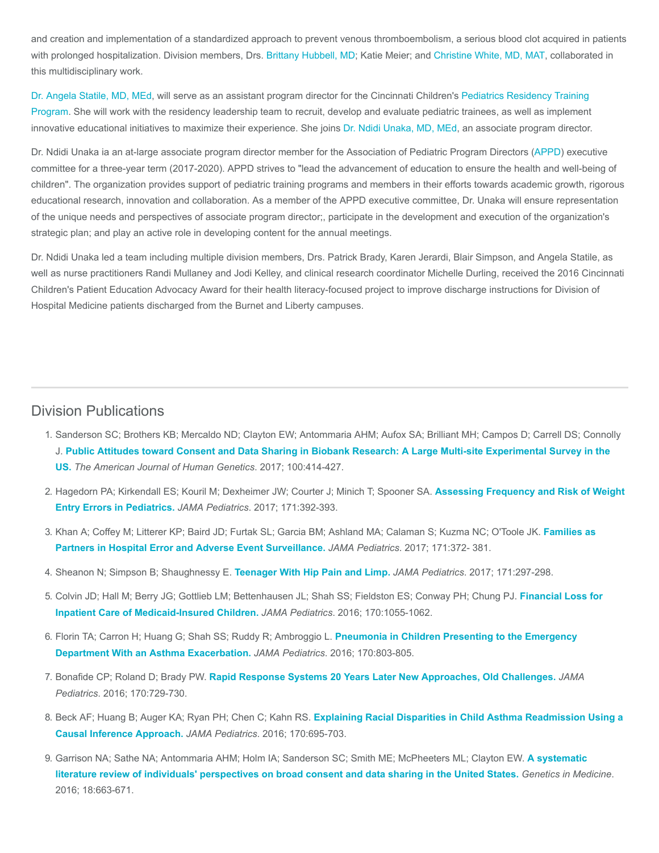and creation and implementation of a standardized approach to prevent venous thromboembolism, a serious blood clot acquired in patients with prolonged hospitalization. Division members, Drs. [Brittany Hubbell, MD](https://www.cincinnatichildrens.org/bio/h/brittany-hubbell); Katie Meier; and [Christine White, MD, MAT,](https://www.cincinnatichildrens.org/bio/w/christine-white) collaborated in this multidisciplinary work.

[Dr. Angela Statile, MD, MEd](https://www.cincinnatichildrens.org/bio/s/angela-statile)[, will serve as an assistant program director for the Cincinnati Children's Pediatrics Residency Training](https://www.cincinnatichildrens.org/education/clinical/residency) Program. She will work with the residency leadership team to recruit, develop and evaluate pediatric trainees, as well as implement innovative educational initiatives to maximize their experience. She joins [Dr. Ndidi Unaka, MD, MEd,](https://www.cincinnatichildrens.org/bio/u/ndidi-unaka) an associate program director.

Dr. Ndidi Unaka ia an at-large associate program director member for the Association of Pediatric Program Directors ([APPD](https://www.appd.org/home/index.cfm)) executive committee for a three-year term (2017-2020). APPD strives to "lead the advancement of education to ensure the health and well-being of children". The organization provides support of pediatric training programs and members in their efforts towards academic growth, rigorous educational research, innovation and collaboration. As a member of the APPD executive committee, Dr. Unaka will ensure representation of the unique needs and perspectives of associate program director;, participate in the development and execution of the organization's strategic plan; and play an active role in developing content for the annual meetings.

Dr. Ndidi Unaka led a team including multiple division members, Drs. Patrick Brady, Karen Jerardi, Blair Simpson, and Angela Statile, as well as nurse practitioners Randi Mullaney and Jodi Kelley, and clinical research coordinator Michelle Durling, received the 2016 Cincinnati Children's Patient Education Advocacy Award for their health literacy-focused project to improve discharge instructions for Division of Hospital Medicine patients discharged from the Burnet and Liberty campuses.

### Division Publications

- 1. Sanderson SC; Brothers KB; Mercaldo ND; Clayton EW; Antommaria AHM; Aufox SA; Brilliant MH; Campos D; Carrell DS; Connolly J. [Public Attitudes toward Consent and Data Sharing in Biobank Research: A Large Multi-site Experimental Survey in the](https://www.ncbi.nlm.nih.gov/pubmed/28190457) US. The American Journal of Human Genetics. 2017; 100:414-427.
- 2. [Hagedorn PA; Kirkendall ES; Kouril M; Dexheimer JW; Courter J; Minich T; Spooner SA.](https://www.ncbi.nlm.nih.gov/pubmed/28152133) Assessing Frequency and Risk of Weight Entry Errors in Pediatrics. JAMA Pediatrics. 2017; 171:392-393.
- 3. [Khan A; Coffey M; Litterer KP; Baird JD; Furtak SL; Garcia BM; Ashland MA; Calaman S; Kuzma NC; O'Toole JK.](https://www.ncbi.nlm.nih.gov/pubmed/28241211) Families as Partners in Hospital Error and Adverse Event Surveillance. JAMA Pediatrics. 2017; 171:372- 381.
- 4. Sheanon N; Simpson B; Shaughnessy E. [Teenager With Hip Pain and Limp.](https://www.ncbi.nlm.nih.gov/pubmed/28264104) JAMA Pediatrics. 2017; 171:297-298.
- 5. [Colvin JD; Hall M; Berry JG; Gottlieb LM; Bettenhausen JL; Shah SS; Fieldston ES; Conway PH; Chung PJ.](https://www.ncbi.nlm.nih.gov/pubmed/27618284) Financial Loss for Inpatient Care of Medicaid-Insured Children. JAMA Pediatrics. 2016; 170:1055-1062.
- 6. [Florin TA; Carron H; Huang G; Shah SS; Ruddy R; Ambroggio L.](https://www.ncbi.nlm.nih.gov/pubmed/27270612) Pneumonia in Children Presenting to the Emergency Department With an Asthma Exacerbation. JAMA Pediatrics. 2016; 170:803-805.
- 7. Bonafide CP; Roland D; Brady PW. [Rapid Response Systems 20 Years Later New Approaches, Old Challenges.](https://www.ncbi.nlm.nih.gov/pubmed/27322604) JAMA Pediatrics. 2016; 170:729-730.
- 8. Beck AF; Huang B; Auger KA; Ryan PH; Chen C; Kahn RS. [Explaining Racial Disparities in Child Asthma Readmission Using a](https://www.ncbi.nlm.nih.gov/pubmed/27182793) Causal Inference Approach. JAMA Pediatrics. 2016; 170:695-703.
- 9. [Garrison NA; Sathe NA; Antommaria AHM; Holm IA; Sanderson SC; Smith ME; McPheeters ML; Clayton EW.](https://www.ncbi.nlm.nih.gov/pubmed/26583683) A systematic literature review of individuals' perspectives on broad consent and data sharing in the United States. Genetics in Medicine. 2016; 18:663-671.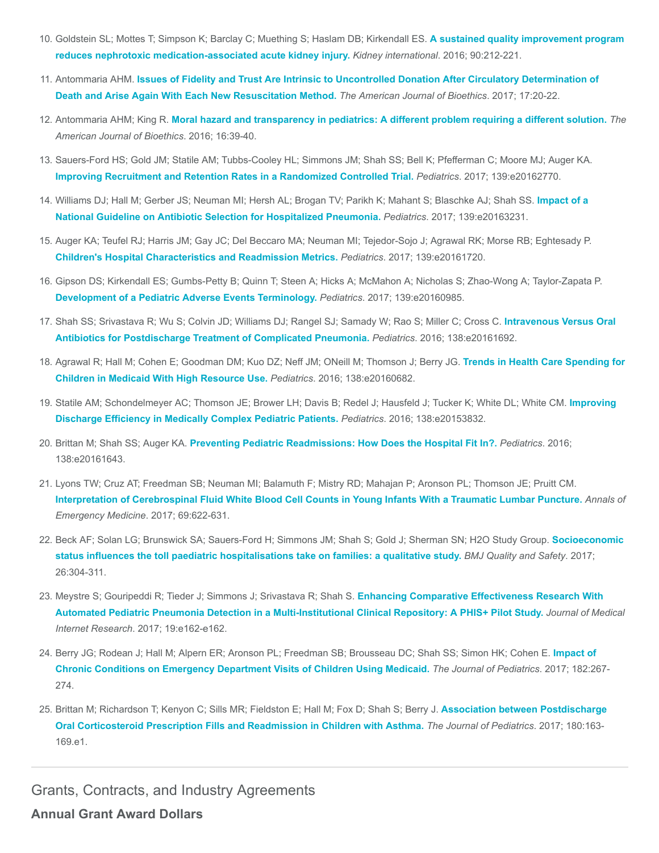- 10. [Goldstein SL; Mottes T; Simpson K; Barclay C; Muething S; Haslam DB; Kirkendall ES.](https://www.ncbi.nlm.nih.gov/pubmed/27217196) A sustained quality improvement program reduces nephrotoxic medication-associated acute kidney injury. Kidney international. 2016; 90:212-221.
- 11. Antommaria AHM. [Issues of Fidelity and Trust Are Intrinsic to Uncontrolled Donation After Circulatory Determination of](https://www.ncbi.nlm.nih.gov/pubmed/28430053) Death and Arise Again With Each New Resuscitation Method. The American Journal of Bioethics. 2017; 17:20-22.
- 12. Antommaria AHM; King R. [Moral hazard and transparency in pediatrics: A different problem requiring a different solution.](https://www.ncbi.nlm.nih.gov/pubmed/27292846) The American Journal of Bioethics. 2016; 16:39-40.
- 13. Sauers-Ford HS; Gold JM; Statile AM; Tubbs-Cooley HL; Simmons JM; Shah SS; Bell K; Pfefferman C; Moore MJ; Auger KA. [Improving Recruitment and Retention Rates in a Randomized Controlled Trial.](https://www.ncbi.nlm.nih.gov/pubmed/28557728) Pediatrics. 2017; 139:e20162770.
- 14. [Williams DJ; Hall M; Gerber JS; Neuman MI; Hersh AL; Brogan TV; Parikh K; Mahant S; Blaschke AJ; Shah SS.](https://www.ncbi.nlm.nih.gov/pubmed/28275204) Impact of a National Guideline on Antibiotic Selection for Hospitalized Pneumonia. Pediatrics. 2017; 139:e20163231.
- 15. Auger KA; Teufel RJ; Harris JM; Gay JC; Del Beccaro MA; Neuman MI; Tejedor-Sojo J; Agrawal RK; Morse RB; Eghtesady P. [Children's Hospital Characteristics and Readmission Metrics.](https://www.ncbi.nlm.nih.gov/pubmed/28123044) Pediatrics. 2017; 139:e20161720.
- 16. Gipson DS; Kirkendall ES; Gumbs-Petty B; Quinn T; Steen A; Hicks A; McMahon A; Nicholas S; Zhao-Wong A; Taylor-Zapata P. [Development of a Pediatric Adverse Events Terminology.](https://www.ncbi.nlm.nih.gov/pubmed/28028203) Pediatrics. 2017; 139:e20160985.
- 17. [Shah SS; Srivastava R; Wu S; Colvin JD; Williams DJ; Rangel SJ; Samady W; Rao S; Miller C; Cross C.](https://www.ncbi.nlm.nih.gov/pubmed/27940695) Intravenous Versus Oral Antibiotics for Postdischarge Treatment of Complicated Pneumonia. Pediatrics. 2016; 138:e20161692.
- 18. [Agrawal R; Hall M; Cohen E; Goodman DM; Kuo DZ; Neff JM; ONeill M; Thomson J; Berry JG.](https://www.ncbi.nlm.nih.gov/pubmed/27633920) Trends in Health Care Spending for Children in Medicaid With High Resource Use. Pediatrics. 2016; 138:e20160682.
- 19. [Statile AM; Schondelmeyer AC; Thomson JE; Brower LH; Davis B; Redel J; Hausfeld J; Tucker K; White DL; White CM.](https://www.ncbi.nlm.nih.gov/pubmed/27412640) Improving Discharge Efficiency in Medically Complex Pediatric Patients. Pediatrics. 2016; 138:e20153832.
- 20. Brittan M; Shah SS; Auger KA. [Preventing Pediatric Readmissions: How Does the Hospital Fit In?.](https://www.ncbi.nlm.nih.gov/pubmed/27449419) Pediatrics. 2016; 138:e20161643.
- 21. Lyons TW; Cruz AT; Freedman SB; Neuman MI; Balamuth F; Mistry RD; Mahajan P; Aronson PL; Thomson JE; Pruitt CM. [Interpretation of Cerebrospinal Fluid White Blood Cell Counts in Young Infants With a Traumatic Lumbar Puncture.](https://www.ncbi.nlm.nih.gov/pubmed/28041826) Annals of Emergency Medicine. 2017; 69:622-631.
- 22. [Beck AF; Solan LG; Brunswick SA; Sauers-Ford H; Simmons JM; Shah S; Gold J; Sherman SN; H2O Study Group.](https://www.ncbi.nlm.nih.gov/pubmed/27471042) Socioeconomic status influences the toll paediatric hospitalisations take on families: a qualitative study. BMJ Quality and Safety. 2017; 26:304-311.
- 23. Meystre S; Gouripeddi R; Tieder J; Simmons J; Srivastava R; Shah S. Enhancing Comparative Effectiveness Research With [Automated Pediatric Pneumonia Detection in a Multi-Institutional Clinical Repository: A PHIS+ Pilot Study.](https://www.ncbi.nlm.nih.gov/pubmed/28506958) Journal of Medical Internet Research. 2017; 19:e162-e162.
- 24. [Berry JG; Rodean J; Hall M; Alpern ER; Aronson PL; Freedman SB; Brousseau DC; Shah SS; Simon HK; Cohen E.](https://www.ncbi.nlm.nih.gov/pubmed/27979584) Impact of Chronic Conditions on Emergency Department Visits of Children Using Medicaid. The Journal of Pediatrics. 2017; 182:267- 274.
- 25. [Brittan M; Richardson T; Kenyon C; Sills MR; Fieldston E; Hall M; Fox D; Shah S; Berry J.](https://www.ncbi.nlm.nih.gov/pubmed/27769549) Association between Postdischarge Oral Corticosteroid Prescription Fills and Readmission in Children with Asthma. The Journal of Pediatrics. 2017; 180:163- 169.e1.

Grants, Contracts, and Industry Agreements

Annual Grant Award Dollars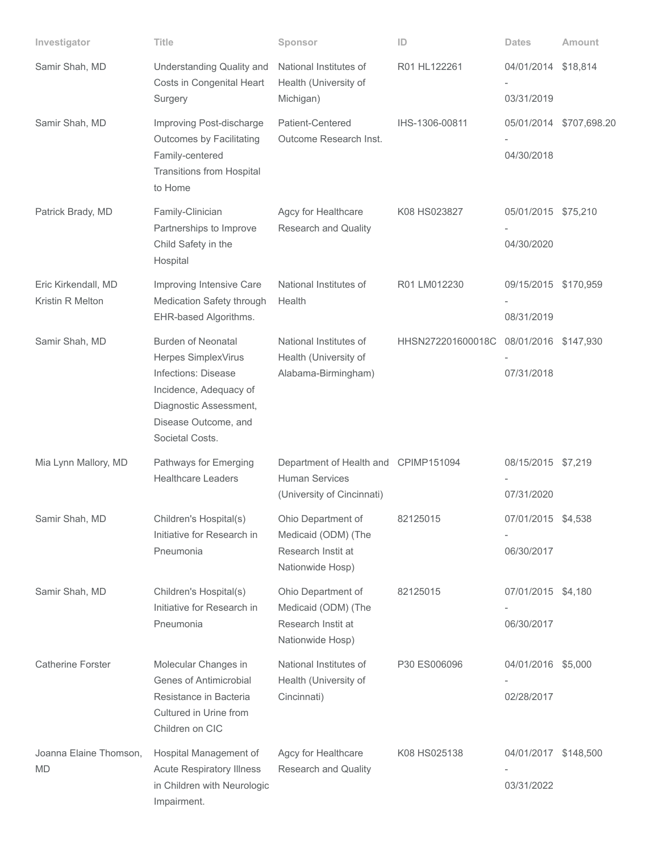| Investigator                            | Title                                                                                                                                                                  | Sponsor                                                                                     | ID                | <b>Dates</b>                       | Amount       |
|-----------------------------------------|------------------------------------------------------------------------------------------------------------------------------------------------------------------------|---------------------------------------------------------------------------------------------|-------------------|------------------------------------|--------------|
| Samir Shah, MD                          | Understanding Quality and<br>Costs in Congenital Heart<br>Surgery                                                                                                      | National Institutes of<br>Health (University of<br>Michigan)                                | R01 HL122261      | 04/01/2014<br>03/31/2019           | \$18,814     |
| Samir Shah, MD                          | Improving Post-discharge<br>Outcomes by Facilitating<br>Family-centered<br><b>Transitions from Hospital</b><br>to Home                                                 | Patient-Centered<br>Outcome Research Inst.                                                  | IHS-1306-00811    | 05/01/2014<br>04/30/2018           | \$707,698.20 |
| Patrick Brady, MD                       | Family-Clinician<br>Partnerships to Improve<br>Child Safety in the<br>Hospital                                                                                         | Agcy for Healthcare<br>Research and Quality                                                 | K08 HS023827      | 05/01/2015 \$75,210<br>04/30/2020  |              |
| Eric Kirkendall, MD<br>Kristin R Melton | Improving Intensive Care<br>Medication Safety through<br>EHR-based Algorithms.                                                                                         | National Institutes of<br>Health                                                            | R01 LM012230      | 09/15/2015 \$170,959<br>08/31/2019 |              |
| Samir Shah, MD                          | <b>Burden of Neonatal</b><br>Herpes SimplexVirus<br>Infections: Disease<br>Incidence, Adequacy of<br>Diagnostic Assessment,<br>Disease Outcome, and<br>Societal Costs. | National Institutes of<br>Health (University of<br>Alabama-Birmingham)                      | HHSN272201600018C | 08/01/2016 \$147,930<br>07/31/2018 |              |
| Mia Lynn Mallory, MD                    | Pathways for Emerging<br><b>Healthcare Leaders</b>                                                                                                                     | Department of Health and CPIMP151094<br><b>Human Services</b><br>(University of Cincinnati) |                   | 08/15/2015 \$7,219<br>07/31/2020   |              |
| Samir Shah, MD                          | Children's Hospital(s)<br>Initiative for Research in<br>Pneumonia                                                                                                      | Ohio Department of<br>Medicaid (ODM) (The<br>Research Instit at<br>Nationwide Hosp)         | 82125015          | 07/01/2015 \$4,538<br>06/30/2017   |              |
| Samir Shah, MD                          | Children's Hospital(s)<br>Initiative for Research in<br>Pneumonia                                                                                                      | Ohio Department of<br>Medicaid (ODM) (The<br>Research Instit at<br>Nationwide Hosp)         | 82125015          | 07/01/2015 \$4,180<br>06/30/2017   |              |
| <b>Catherine Forster</b>                | Molecular Changes in<br>Genes of Antimicrobial<br>Resistance in Bacteria<br>Cultured in Urine from<br>Children on CIC                                                  | National Institutes of<br>Health (University of<br>Cincinnati)                              | P30 ES006096      | 04/01/2016 \$5,000<br>02/28/2017   |              |
| Joanna Elaine Thomson,<br><b>MD</b>     | Hospital Management of<br><b>Acute Respiratory Illness</b><br>in Children with Neurologic<br>Impairment.                                                               | Agcy for Healthcare<br>Research and Quality                                                 | K08 HS025138      | 04/01/2017 \$148,500<br>03/31/2022 |              |